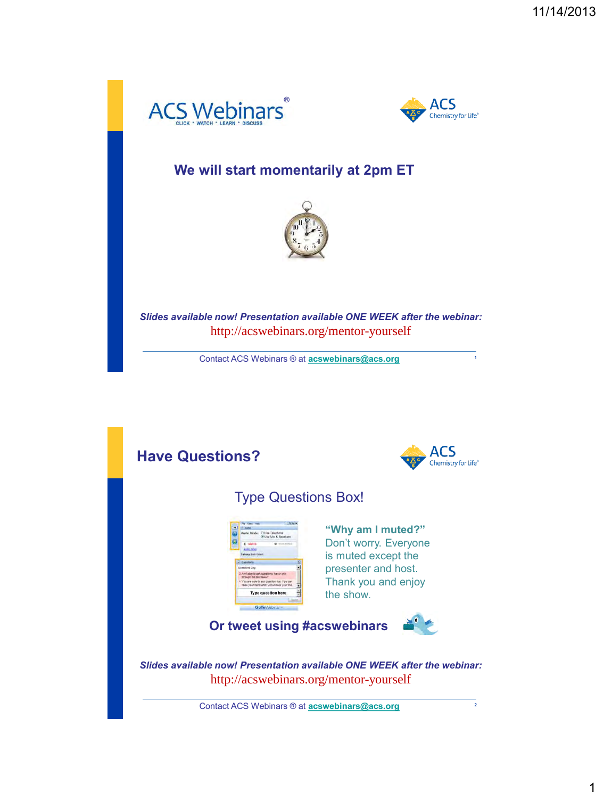



**1**

#### **We will start momentarily at 2pm ET**



*Slides available now! Presentation available ONE WEEK after the webinar:* http://acswebinars.org/mentor-yourself

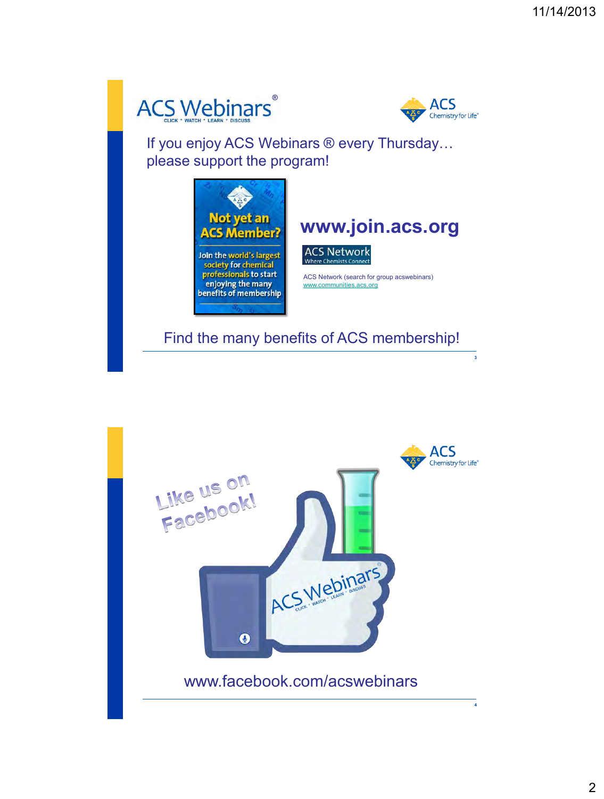



**3**

If you enjoy ACS Webinars ® every Thursday… please support the program!



Find the many benefits of ACS membership!

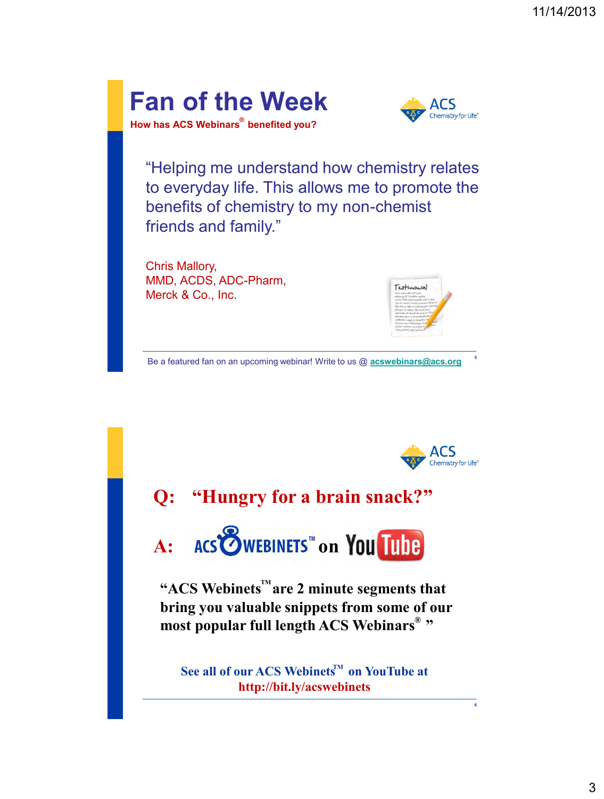



"Helping me understand how chemistry relates to everyday life. This allows me to promote the benefits of chemistry to my non-chemist friends and family."

Chris Mallory, MMD, ACDS, ADC-Pharm, Merck & Co., Inc.



Be a featured fan on an upcoming webinar! Write to us @ **[acswebinars@acs.org](mailto:acswebinars@acs.org)**



**5**

**6**

# **Q: "Hungry for a brain snack?"**

A: ACS WEBINETS<sup>"</sup> on You Tube

"ACS Webinets<sup>"</sup> are 2 minute segments that **bring you valuable snippets from some of our**  most popular full length ACS Webinars<sup>®</sup>"

 $\mathbf{See}$  all of our ACS Webinets<sup>M</sup> on YouTube at **http://bit.ly/acswebinets**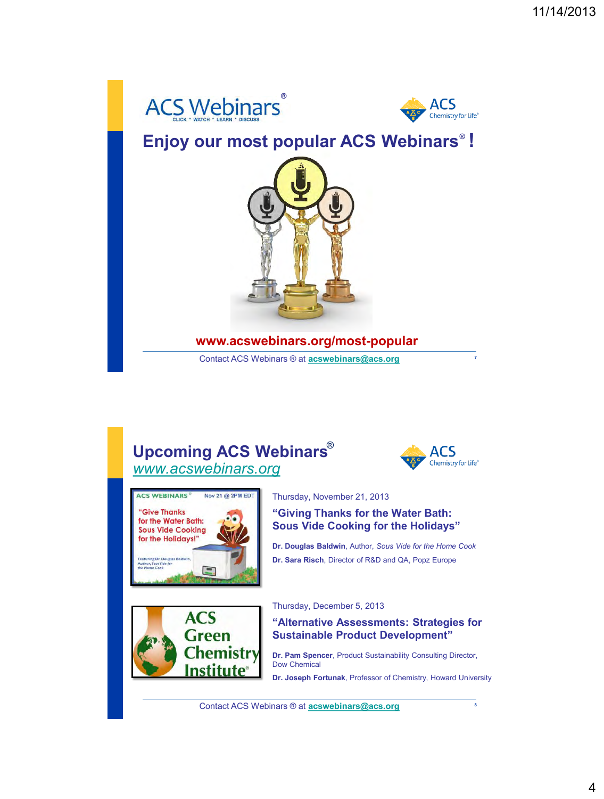



### **Enjoy our most popular ACS Webinars ! ®**



#### **www.acswebinars.org/most-popular**

Contact ACS Webinars ® at **[acswebinars@acs.org](mailto:acswebinars@acs.org)**

### **Upcoming ACS Webinars** ® *[www.acswebinars.org](http://www.acswebinars.org/)*



**7**



**ACS Green** 

**Chemistry** Institute

#### Thursday, November 21, 2013

**"Giving Thanks for the Water Bath: Sous Vide Cooking for the Holidays"**

**Dr. Douglas Baldwin**, Author, *Sous Vide for the Home Cook* **Dr. Sara Risch**, Director of R&D and QA, Popz Europe



#### **"Alternative Assessments: Strategies for Sustainable Product Development"**

**Dr. Pam Spencer**, Product Sustainability Consulting Director, Dow Chemical

**Dr. Joseph Fortunak**, Professor of Chemistry, Howard University

Contact ACS Webinars ® at **[acswebinars@acs.org](mailto:acswebinars@acs.org)**

**8**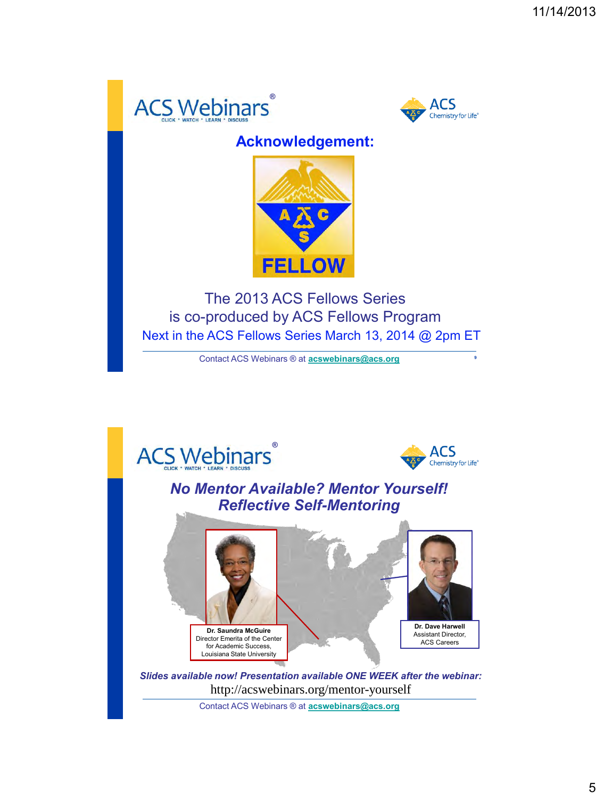



### **Acknowledgement:**



The 2013 ACS Fellows Series is co-produced by ACS Fellows Program Next in the ACS Fellows Series March 13, 2014 @ 2pm ET

Contact ACS Webinars ® at **[acswebinars@acs.org](mailto:acswebinars@acs.org)**





**9**

### *No Mentor Available? Mentor Yourself! Reflective Self-Mentoring*



*Slides available now! Presentation available ONE WEEK after the webinar:* http://acswebinars.org/mentor-yourself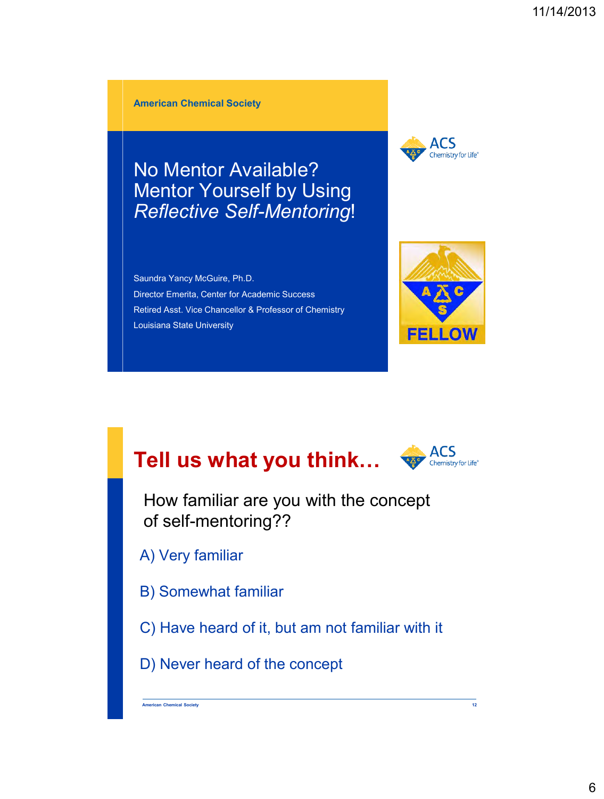**American Chemical Society**

No Mentor Available? Mentor Yourself by Using *Reflective Self-Mentoring*!

Saundra Yancy McGuire, Ph.D. Director Emerita, Center for Academic Success Retired Asst. Vice Chancellor & Professor of Chemistry Louisiana State University





# **Tell us what you think…**



How familiar are you with the concept of self-mentoring??

A) Very familiar

- B) Somewhat familiar
- C) Have heard of it, but am not familiar with it

D) Never heard of the concept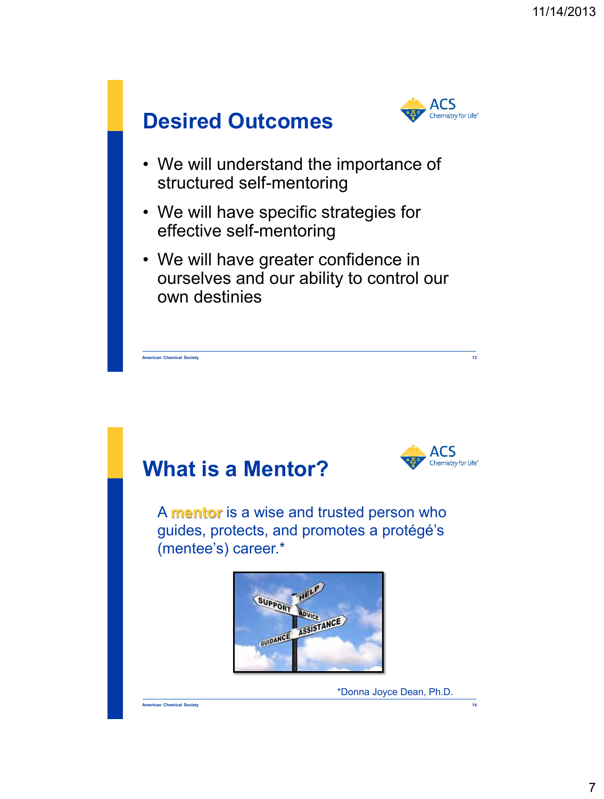



- We will understand the importance of structured self-mentoring
- We will have specific strategies for effective self-mentoring
- We will have greater confidence in ourselves and our ability to control our own destinies

**American Chemical Society 13**





 A **mentor** is a wise and trusted person who guides, protects, and promotes a protégé's (mentee's) career.\*



\*Donna Joyce Dean, Ph.D.

**American Chemical Society 14**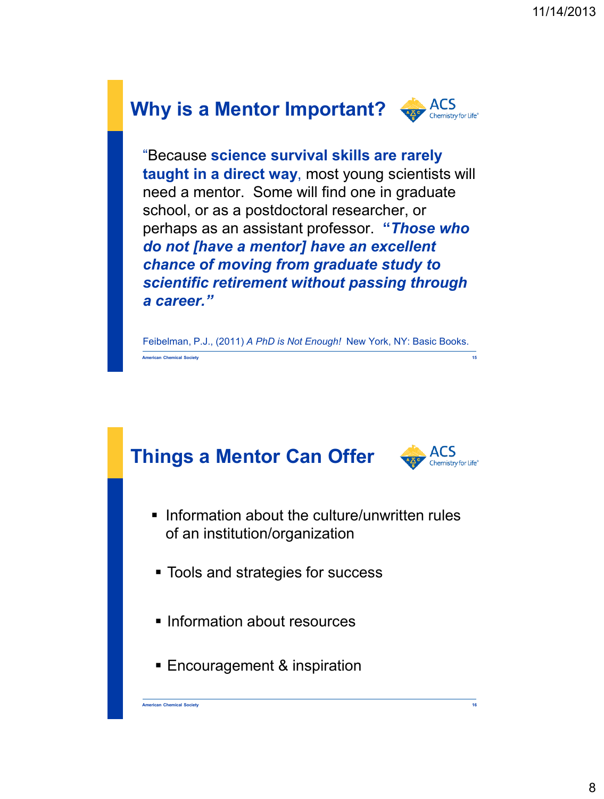

"Because **science survival skills are rarely taught in a direct way**, most young scientists will need a mentor. Some will find one in graduate school, or as a postdoctoral researcher, or perhaps as an assistant professor. **"***Those who do not [have a mentor] have an excellent chance of moving from graduate study to scientific retirement without passing through a career."*

Feibelman, P.J., (2011) *A PhD is Not Enough!* New York, NY: Basic Books. **American Chemical Society 15**



**American Chemical Society 16**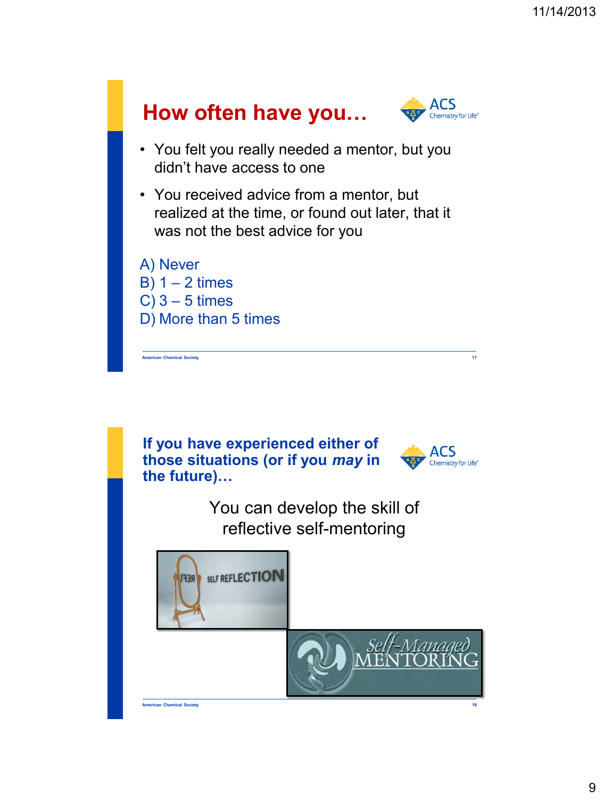



**American Chemical Society 18**

9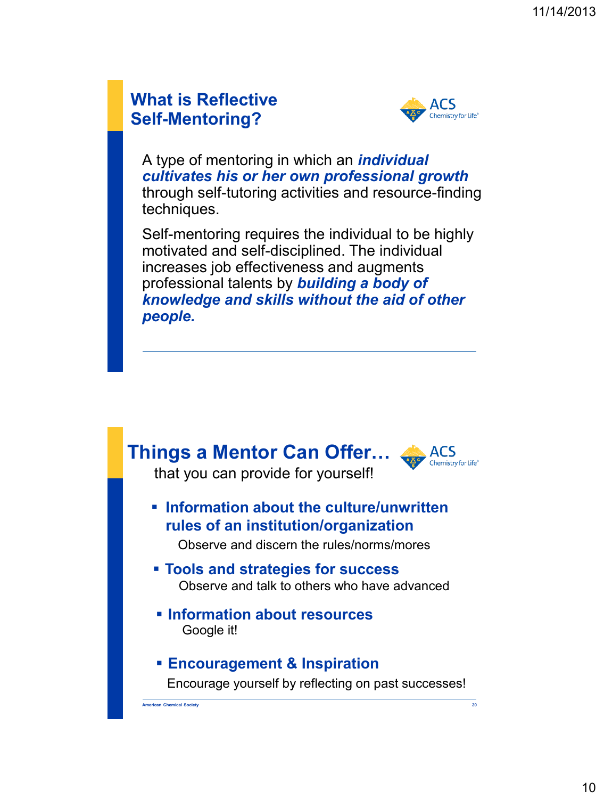### **What is Reflective Self-Mentoring?**



A type of mentoring in which an *individual cultivates his or her own professional growth*  through self-tutoring activities and resource-finding techniques.

Self-mentoring requires the individual to be highly motivated and self-disciplined. The individual increases job effectiveness and augments professional talents by *building a body of knowledge and skills without the aid of other people.* 

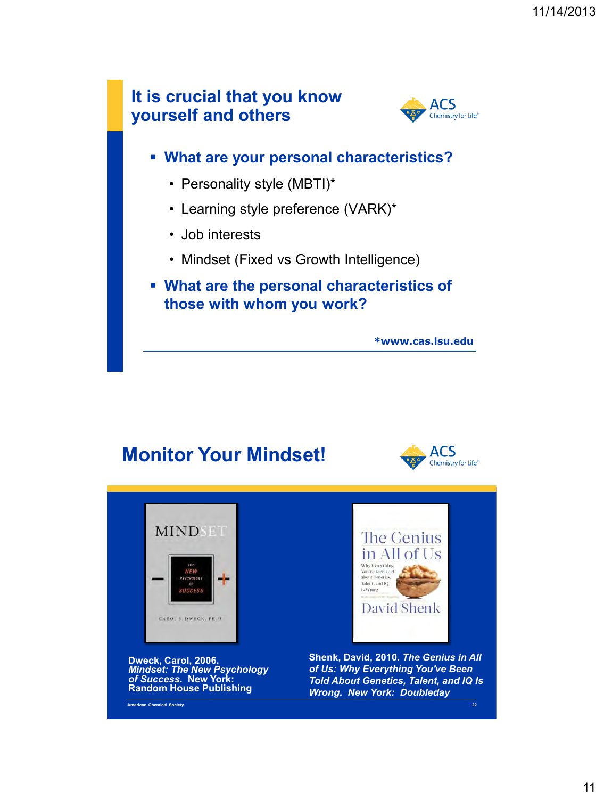

### **Monitor Your Mindset!**



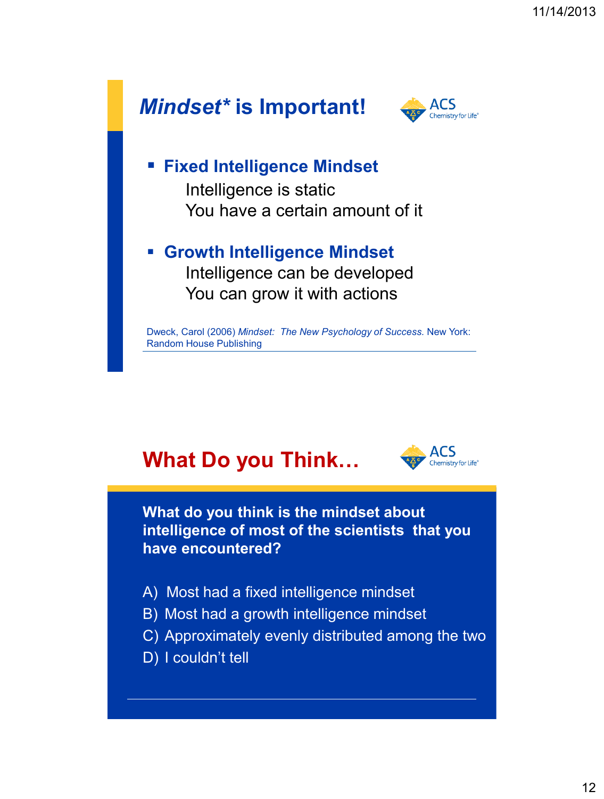

# **What Do you Think…**



**What do you think is the mindset about intelligence of most of the scientists that you have encountered?**

- A) Most had a fixed intelligence mindset
- B) Most had a growth intelligence mindset
- C) Approximately evenly distributed among the two
- D) I couldn't tell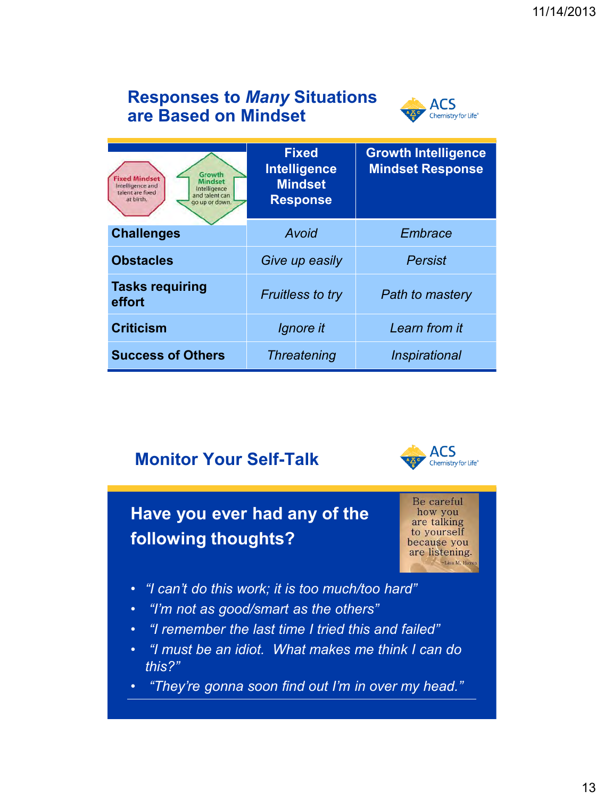### **Responses to** *Many* **Situations are Based on Mindset**



| Growth<br><b>Fixed Mindset</b><br><b>Mindset</b><br>Intelligence and<br>Intelligence<br>talent are fixed<br>and talent can<br>at birth.<br>go up or down. | <b>Fixed</b><br>Intelligence<br><b>Mindset</b><br><b>Response</b> | <b>Growth Intelligence</b><br><b>Mindset Response</b> |
|-----------------------------------------------------------------------------------------------------------------------------------------------------------|-------------------------------------------------------------------|-------------------------------------------------------|
| <b>Challenges</b>                                                                                                                                         | Avoid                                                             | Embrace                                               |
| <b>Obstacles</b>                                                                                                                                          | Give up easily                                                    | <b>Persist</b>                                        |
| <b>Tasks requiring</b><br>effort                                                                                                                          | <b>Fruitless to try</b>                                           | <b>Path to mastery</b>                                |
| <b>Criticism</b>                                                                                                                                          | Ignore it                                                         | Learn from it                                         |
| <b>Success of Others</b>                                                                                                                                  | <b>Threatening</b>                                                | <i><b>Inspirational</b></i>                           |

### **Monitor Your Self-Talk**



# **Have you ever had any of the following thoughts?**

Be careful how you are talking to yourself because you are listening. -Lisa M. Hay

- *"I can't do this work; it is too much/too hard"*
- *"I'm not as good/smart as the others"*
- *"I remember the last time I tried this and failed"*
- *"I must be an idiot. What makes me think I can do this?"*
- *"They're gonna soon find out I'm in over my head."*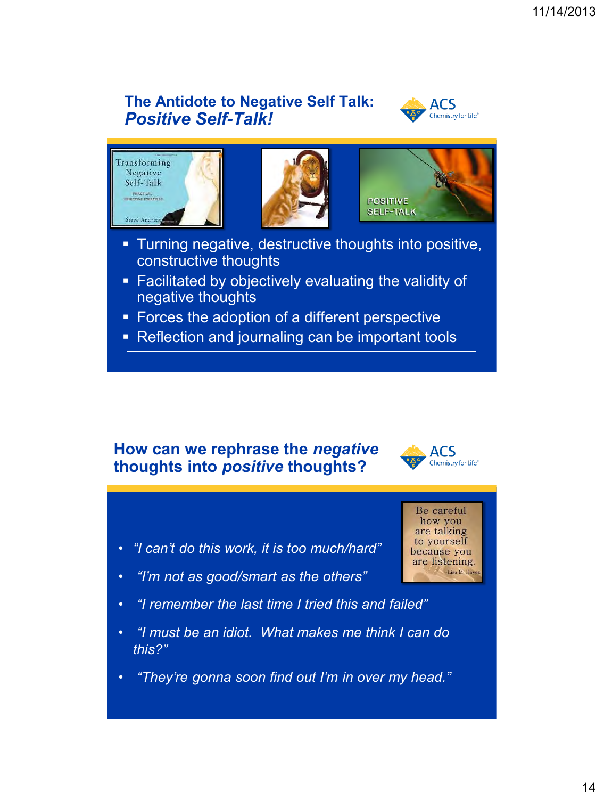### **The Antidote to Negative Self Talk:**  *Positive Self-Talk!*









- **Turning negative, destructive thoughts into positive,** constructive thoughts
- Facilitated by objectively evaluating the validity of negative thoughts
- **Forces the adoption of a different perspective**
- Reflection and journaling can be important tools

#### **How can we rephrase the** *negative* **thoughts into** *positive* **thoughts?**



- *"I can't do this work, it is too much/hard"*
- *"I'm not as good/smart as the others"*
- *"I remember the last time I tried this and failed"*
- *"I must be an idiot. What makes me think I can do this?"*
- *"They're gonna soon find out I'm in over my head."*

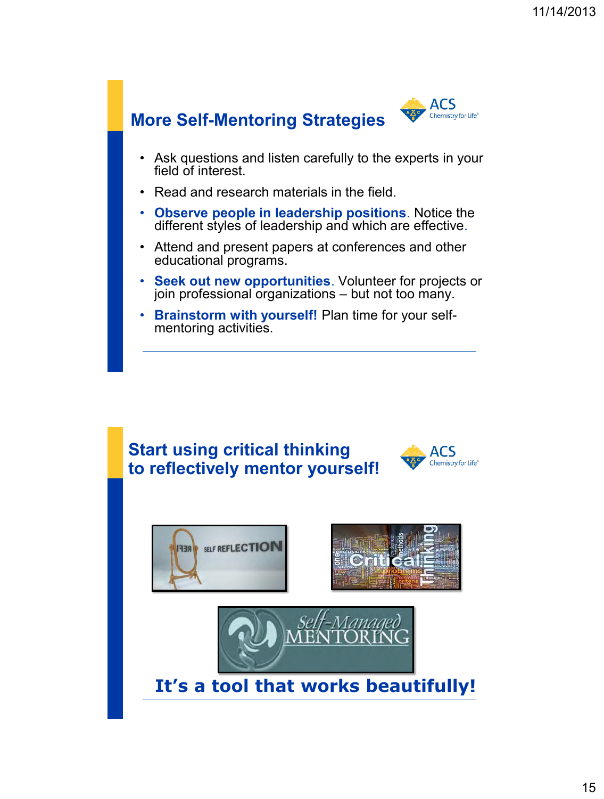

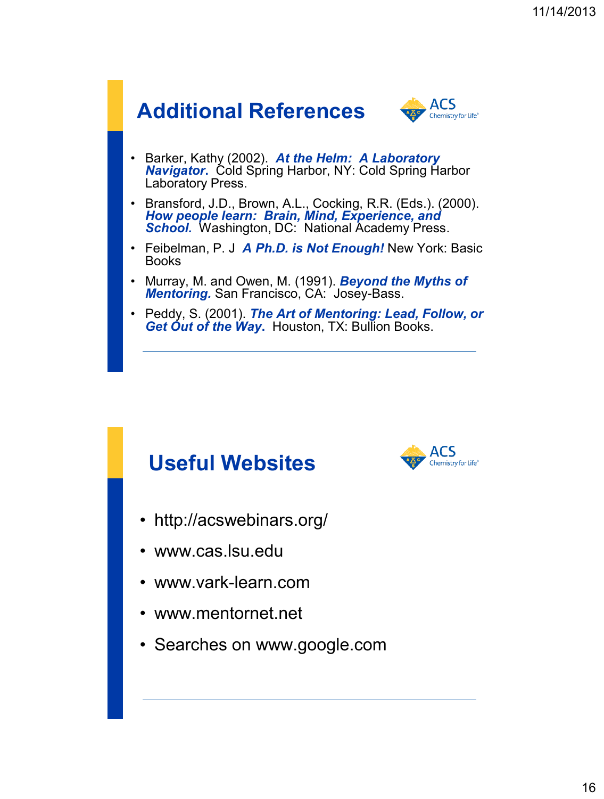

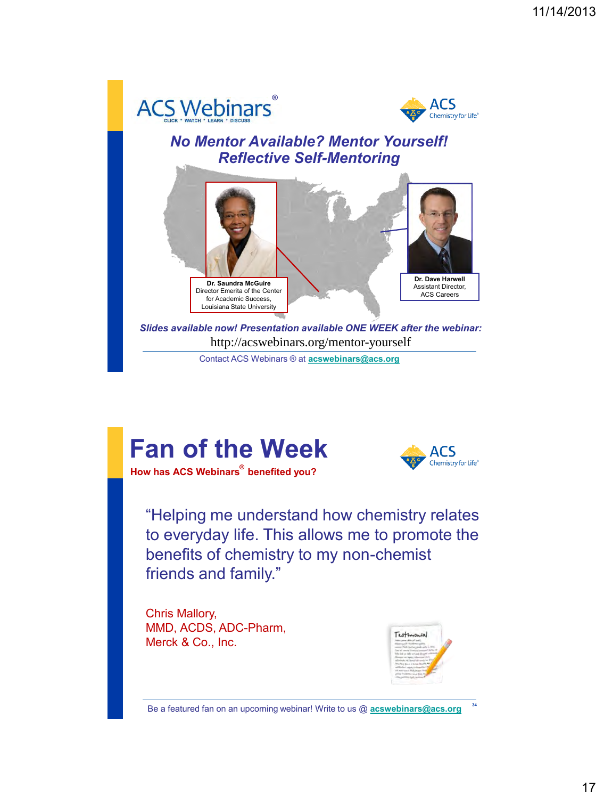



#### *No Mentor Available? Mentor Yourself! Reflective Self-Mentoring*



*Slides available now! Presentation available ONE WEEK after the webinar:* http://acswebinars.org/mentor-yourself

Contact ACS Webinars ® at **[acswebinars@acs.org](mailto:acswebinars@acs.org)**

# **Fan of the Week**



**How has ACS Webinars**<sup>®</sup> benefited you?

"Helping me understand how chemistry relates to everyday life. This allows me to promote the benefits of chemistry to my non-chemist friends and family."

Chris Mallory, MMD, ACDS, ADC-Pharm, Merck & Co., Inc.



**34**

Be a featured fan on an upcoming webinar! Write to us @ **[acswebinars@acs.org](mailto:acswebinars@acs.org)**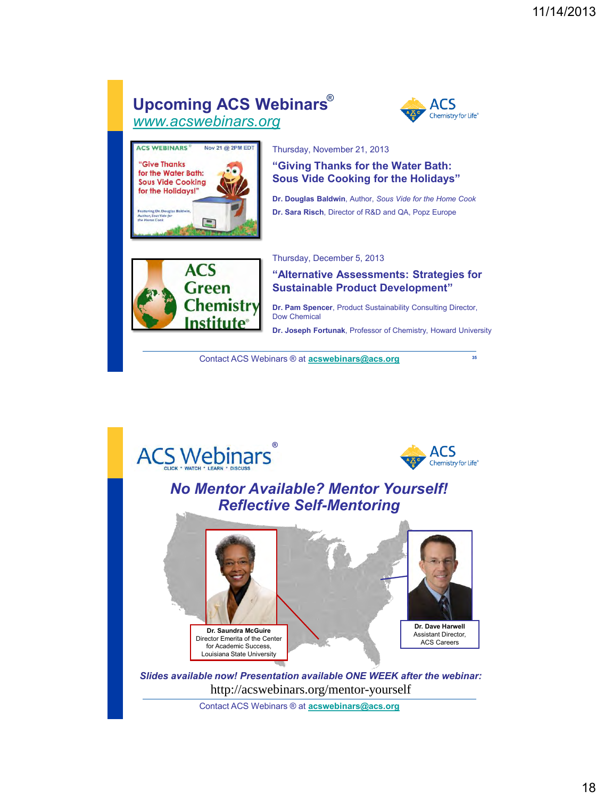#### **Upcoming ACS Webinars** ® *[www.acswebinars.org](http://www.acswebinars.org/)*



**35**



Thursday, November 21, 2013

**"Giving Thanks for the Water Bath: Sous Vide Cooking for the Holidays"**

**Dr. Douglas Baldwin**, Author, *Sous Vide for the Home Cook* **Dr. Sara Risch**, Director of R&D and QA, Popz Europe



Thursday, December 5, 2013

**"Alternative Assessments: Strategies for Sustainable Product Development"**

**Dr. Pam Spencer**, Product Sustainability Consulting Director, Dow Chemical

**Dr. Joseph Fortunak**, Professor of Chemistry, Howard University

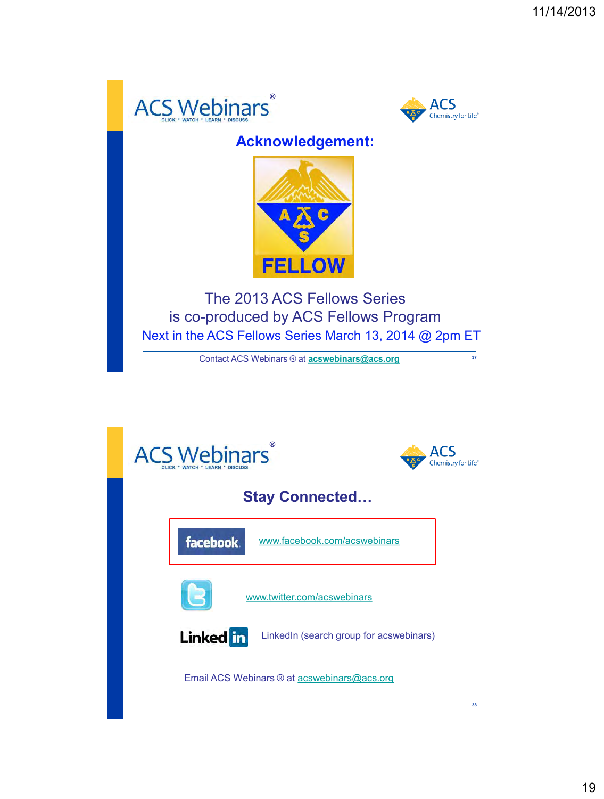



 $\frac{1}{37}$ 

### **Acknowledgement:**



The 2013 ACS Fellows Series is co-produced by ACS Fellows Program Next in the ACS Fellows Series March 13, 2014 @ 2pm ET

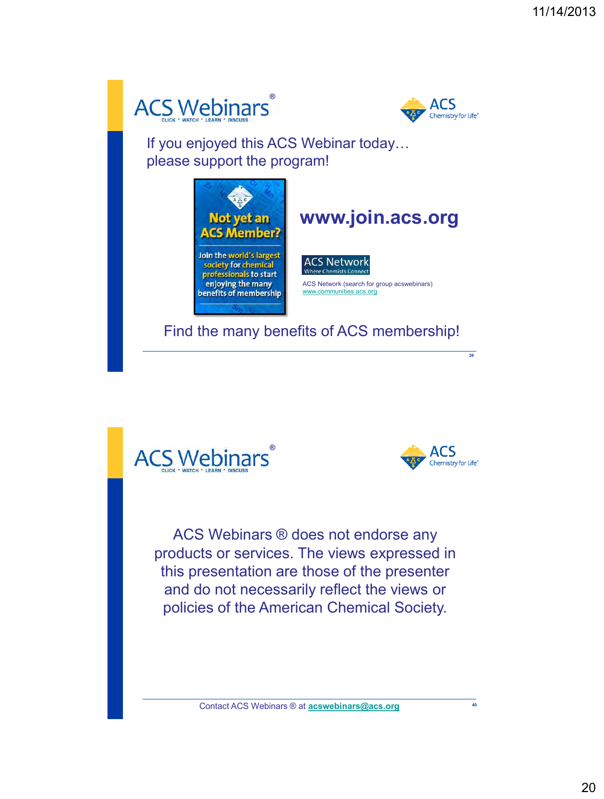



If you enjoyed this ACS Webinar today… please support the program!







**39**

**40**

ACS Webinars ® does not endorse any products or services. The views expressed in this presentation are those of the presenter and do not necessarily reflect the views or policies of the American Chemical Society.